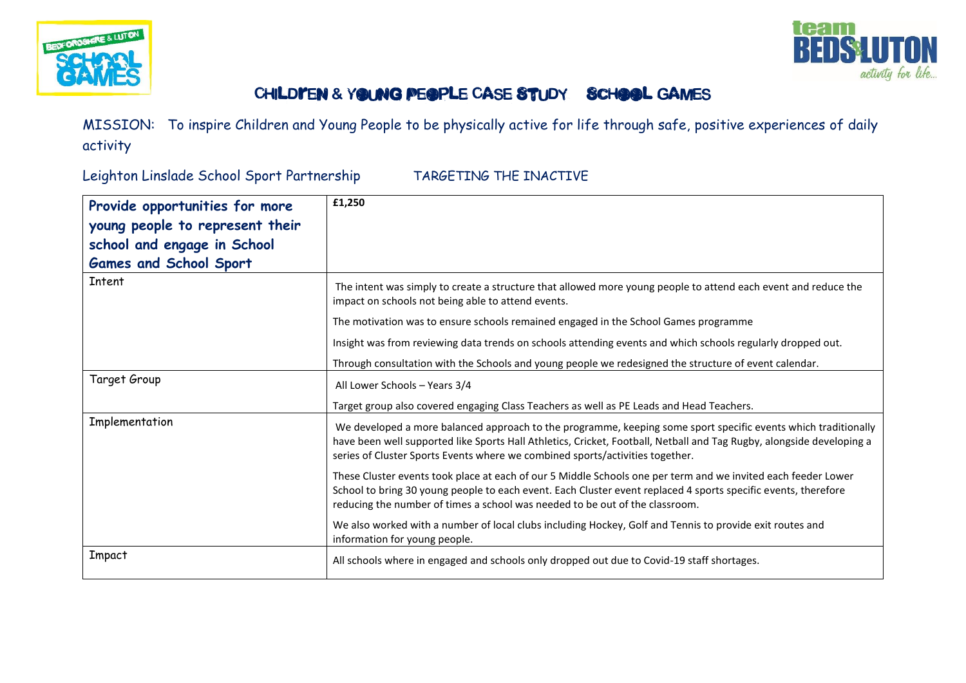



## CHILDYEN & YOUNG PEOPLE CASE STUDY SCHOOL GAMES

MISSION: To inspire Children and Young People to be physically active for life through safe, positive experiences of daily activity

Leighton Linslade School Sport Partnership TARGETING THE INACTIVE

| Provide opportunities for more<br>young people to represent their<br>school and engage in School<br><b>Games and School Sport</b> | £1,250                                                                                                                                                                                                                                                                                                                   |
|-----------------------------------------------------------------------------------------------------------------------------------|--------------------------------------------------------------------------------------------------------------------------------------------------------------------------------------------------------------------------------------------------------------------------------------------------------------------------|
| Intent                                                                                                                            | The intent was simply to create a structure that allowed more young people to attend each event and reduce the<br>impact on schools not being able to attend events.                                                                                                                                                     |
|                                                                                                                                   | The motivation was to ensure schools remained engaged in the School Games programme                                                                                                                                                                                                                                      |
|                                                                                                                                   | Insight was from reviewing data trends on schools attending events and which schools regularly dropped out.                                                                                                                                                                                                              |
|                                                                                                                                   | Through consultation with the Schools and young people we redesigned the structure of event calendar.                                                                                                                                                                                                                    |
| Target Group                                                                                                                      | All Lower Schools - Years 3/4                                                                                                                                                                                                                                                                                            |
|                                                                                                                                   | Target group also covered engaging Class Teachers as well as PE Leads and Head Teachers.                                                                                                                                                                                                                                 |
| Implementation                                                                                                                    | We developed a more balanced approach to the programme, keeping some sport specific events which traditionally<br>have been well supported like Sports Hall Athletics, Cricket, Football, Netball and Tag Rugby, alongside developing a<br>series of Cluster Sports Events where we combined sports/activities together. |
|                                                                                                                                   | These Cluster events took place at each of our 5 Middle Schools one per term and we invited each feeder Lower<br>School to bring 30 young people to each event. Each Cluster event replaced 4 sports specific events, therefore<br>reducing the number of times a school was needed to be out of the classroom.          |
|                                                                                                                                   | We also worked with a number of local clubs including Hockey, Golf and Tennis to provide exit routes and<br>information for young people.                                                                                                                                                                                |
| Impact                                                                                                                            | All schools where in engaged and schools only dropped out due to Covid-19 staff shortages.                                                                                                                                                                                                                               |